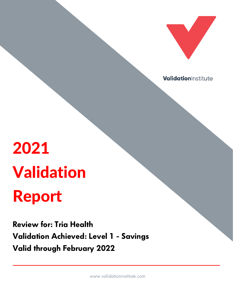

ValidationInstitute

# 2021 Validation Report

Review for: Tria Health Validation Achieved: Level 1 - Savings Valid through February 2022

www.validationinstitute.com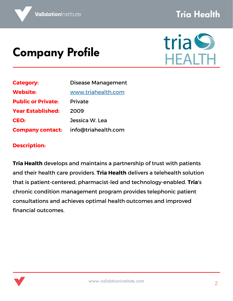#### Tria Health

## Company Profile



| <b>Category:</b>          | <b>Disease Management</b> |
|---------------------------|---------------------------|
| <b>Website:</b>           | www.triahealth.com        |
| <b>Public or Private:</b> | <b>Private</b>            |
| <b>Year Established:</b>  | 2009                      |
| CEO:                      | Jessica W. Lea            |
| <b>Company contact:</b>   | info@triahealth.com       |

#### **Description:**

**Tria Health** develops and maintains a partnership of trust with patients and their health care providers. **Tria Health** delivers a telehealth solution that is patient-centered, pharmacist-led and technology-enabled. **Tria**'s chronic condition management program provides telephonic patient consultations and achieves optimal health outcomes and improved financial outcomes.

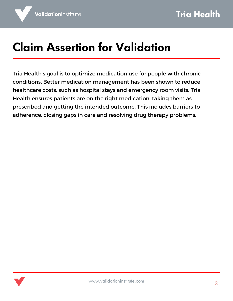## Claim Assertion for Validation

Tria Health's goal is to optimize medication use for people with chronic conditions. Better medication management has been shown to reduce healthcare costs, such as hospital stays and emergency room visits. Tria Health ensures patients are on the right medication, taking them as prescribed and getting the intended outcome. This includes barriers to adherence, closing gaps in care and resolving drug therapy problems.

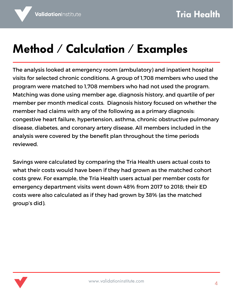### Method / Calculation / Examples

The analysis looked at emergency room (ambulatory) and inpatient hospital visits for selected chronic conditions. A group of 1,708 members who used the program were matched to 1,708 members who had not used the program. Matching was done using member age, diagnosis history, and quartile of per member per month medical costs. Diagnosis history focused on whether the member had claims with any of the following as a primary diagnosis: congestive heart failure, hypertension, asthma, chronic obstructive pulmonary disease, diabetes, and coronary artery disease. All members included in the analysis were covered by the benefit plan throughout the time periods reviewed.

Savings were calculated by comparing the Tria Health users actual costs to what their costs would have been if they had grown as the matched cohort costs grew. For example, the Tria Health users actual per member costs for emergency department visits went down 48% from 2017 to 2018; their ED costs were also calculated as if they had grown by 38% (as the matched group's did).

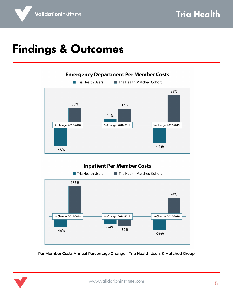### Findings & Outcomes

ValidationInstitute



#### **Inpatient Per Member Costs**



Per Member Costs Annual Percentage Change – Tria Health Users & Matched Group

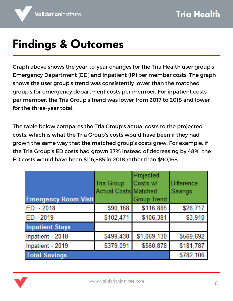# Findings & Outcomes

Graph above shows the year-to-year changes for the Tria Health user group's Emergency Department (ED) and Inpatient (IP) per member costs. The graph shows the user group's trend was consistently lower than the matched group's for emergency department costs per member. For inpatient costs per member, the Tria Group's trend was lower from 2017 to 2018 and lower for the three-year total.

The table below compares the Tria Group's actual costs to the projected costs, which is what the Tria Group's costs would have been if they had grown the same way that the matched group's costs grew. For example, if the Tria Group's ED costs had grown 37% instead of decreasing by 48%, the ED costs would have been \$116,885 in 2018 rather than \$90,168.

| <b>Emergency Room Visit</b> | Tria Group<br><b>Actual Costs Matched</b> | Projected<br>Costs w/<br><b>Group Trend</b> | <b>IDifference</b><br>Savings |
|-----------------------------|-------------------------------------------|---------------------------------------------|-------------------------------|
| ED - 2018                   | \$90,168                                  | \$116,885                                   | \$26,717                      |
| ED-2019                     | \$102,471                                 | \$106,381                                   | \$3,910                       |
| <b>Inpatient Stays</b>      |                                           |                                             |                               |
| Inpatient - 2018            | \$499,438                                 | \$1,069,130                                 | \$569,692                     |
| Inpatient - 2019            | \$379,091                                 | \$560,878                                   | \$181,787                     |
| <b>Total Savings</b>        |                                           |                                             | \$782,106                     |

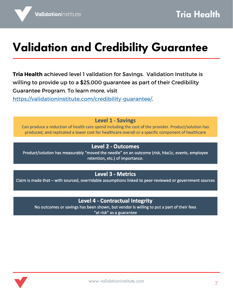### Validation and Credibility Guarantee

**Tria Health** achieved level 1 validation for Savings. Validation Institute is willing to provide up to a \$25,000 guarantee as part of their Credibility Guarantee Program. To learn more, visit

[https://validationinstitute.com/credibility-guarantee/.](https://validationinstitute.com/credibility-guarantee/)

**Level 1 - Savings** 

Can produce a reduction of health care spend including the cost of the provider. Product/solution has produced, and replicated a lower cost for healthcare overall or a specific component of healthcare

#### **Level 2 - Outcomes**

Product/solution has measurably "moved the needle" on an outcome (risk, hba1c, events, employee retention, etc.) of importance.

#### **Level 3 - Metrics**

Claim is made that - with sourced, overridable assumptions linked to peer-reviewed or government sources

#### Level 4 - Contractual Integrity

No outcomes or savings has been shown, but vendor is willing to put a part of their fees "at risk" as a guarantee

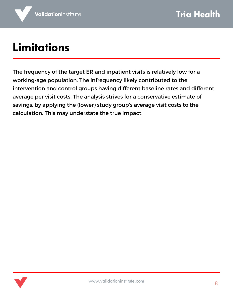### Limitations

The frequency of the target ER and inpatient visits is relatively low for a working-age population. The infrequency likely contributed to the intervention and control groups having different baseline rates and different average per visit costs. The analysis strives for a conservative estimate of savings, by applying the (lower) study group's average visit costs to the calculation. This may understate the true impact.

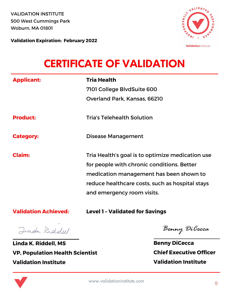Woburn, MA 01801 VALIDATION INSTITUTE 500 West Cummings Park



**Validation Expiration: February 2022**

#### CERTIFICATE OF VALIDATION

| <b>Applicant:</b>           | <b>Tria Health</b>                                                                                                                                                                                                         |
|-----------------------------|----------------------------------------------------------------------------------------------------------------------------------------------------------------------------------------------------------------------------|
|                             | 7101 College BlvdSuite 600<br>Overland Park, Kansas, 66210                                                                                                                                                                 |
|                             |                                                                                                                                                                                                                            |
| <b>Product:</b>             | <b>Tria's Telehealth Solution</b>                                                                                                                                                                                          |
| <b>Category:</b>            | Disease Management                                                                                                                                                                                                         |
| <b>Claim:</b>               | Tria Health's goal is to optimize medication use<br>for people with chronic conditions. Better<br>medication management has been shown to<br>reduce healthcare costs, such as hospital stays<br>and emergency room visits. |
| <b>Validation Achieved:</b> | <b>Level 1 - Validated for Savings</b>                                                                                                                                                                                     |

Jinda Riddell

**Linda K. Riddell, MS VP, Population Health Scientist Validation Institute**

Benny DiCecca

**Benny DiCecca Chief Executive Officer Validation Institute**